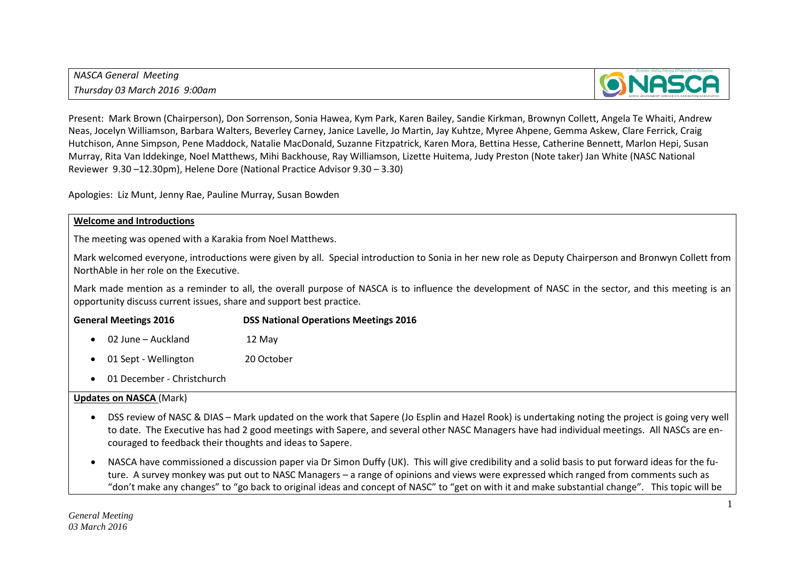*NASCA General Meeting Thursday 03 March 2016 9:00am*



Present: Mark Brown (Chairperson), Don Sorrenson, Sonia Hawea, Kym Park, Karen Bailey, Sandie Kirkman, Brownyn Collett, Angela Te Whaiti, Andrew Neas, Jocelyn Williamson, Barbara Walters, Beverley Carney, Janice Lavelle, Jo Martin, Jay Kuhtze, Myree Ahpene, Gemma Askew, Clare Ferrick, Craig Hutchison, Anne Simpson, Pene Maddock, Natalie MacDonald, Suzanne Fitzpatrick, Karen Mora, Bettina Hesse, Catherine Bennett, Marlon Hepi, Susan Murray, Rita Van Iddekinge, Noel Matthews, Mihi Backhouse, Ray Williamson, Lizette Huitema, Judy Preston (Note taker) Jan White (NASC National Reviewer 9.30 –12.30pm), Helene Dore (National Practice Advisor 9.30 – 3.30)

Apologies: Liz Munt, Jenny Rae, Pauline Murray, Susan Bowden

#### **Welcome and Introductions**

The meeting was opened with a Karakia from Noel Matthews.

Mark welcomed everyone, introductions were given by all. Special introduction to Sonia in her new role as Deputy Chairperson and Bronwyn Collett from NorthAble in her role on the Executive.

Mark made mention as a reminder to all, the overall purpose of NASCA is to influence the development of NASC in the sector, and this meeting is an opportunity discuss current issues, share and support best practice.

#### **General Meetings 2016 DSS National Operations Meetings 2016**

- 02 June Auckland 12 May
- 01 Sept Wellington 20 October
- 01 December Christchurch

#### **Updates on NASCA** (Mark)

- DSS review of NASC & DIAS Mark updated on the work that Sapere (Jo Esplin and Hazel Rook) is undertaking noting the project is going very well to date. The Executive has had 2 good meetings with Sapere, and several other NASC Managers have had individual meetings. All NASCs are encouraged to feedback their thoughts and ideas to Sapere.
- NASCA have commissioned a discussion paper via Dr Simon Duffy (UK). This will give credibility and a solid basis to put forward ideas for the future. A survey monkey was put out to NASC Managers – a range of opinions and views were expressed which ranged from comments such as "don't make any changes" to "go back to original ideas and concept of NASC" to "get on with it and make substantial change". This topic will be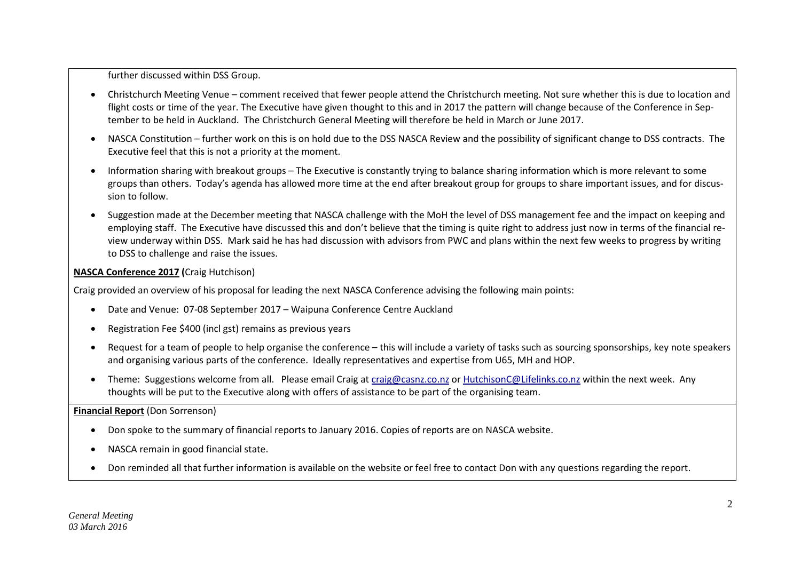further discussed within DSS Group.

- Christchurch Meeting Venue comment received that fewer people attend the Christchurch meeting. Not sure whether this is due to location and flight costs or time of the year. The Executive have given thought to this and in 2017 the pattern will change because of the Conference in September to be held in Auckland. The Christchurch General Meeting will therefore be held in March or June 2017.
- NASCA Constitution further work on this is on hold due to the DSS NASCA Review and the possibility of significant change to DSS contracts. The Executive feel that this is not a priority at the moment.
- Information sharing with breakout groups The Executive is constantly trying to balance sharing information which is more relevant to some groups than others. Today's agenda has allowed more time at the end after breakout group for groups to share important issues, and for discussion to follow.
- Suggestion made at the December meeting that NASCA challenge with the MoH the level of DSS management fee and the impact on keeping and employing staff. The Executive have discussed this and don't believe that the timing is quite right to address just now in terms of the financial review underway within DSS. Mark said he has had discussion with advisors from PWC and plans within the next few weeks to progress by writing to DSS to challenge and raise the issues.

# **NASCA Conference 2017 (**Craig Hutchison)

Craig provided an overview of his proposal for leading the next NASCA Conference advising the following main points:

- Date and Venue: 07-08 September 2017 Waipuna Conference Centre Auckland
- Registration Fee \$400 (incl gst) remains as previous years
- Request for a team of people to help organise the conference this will include a variety of tasks such as sourcing sponsorships, key note speakers and organising various parts of the conference. Ideally representatives and expertise from U65, MH and HOP.
- Theme: Suggestions welcome from all. Please email Craig at [craig@casnz.co.nz](mailto:craig@casnz.co.nz) or [HutchisonC@Lifelinks.co.nz](mailto:HutchisonC@Lifelinks.co.nz) within the next week. Any thoughts will be put to the Executive along with offers of assistance to be part of the organising team.

**Financial Report** (Don Sorrenson)

- Don spoke to the summary of financial reports to January 2016. Copies of reports are on NASCA website.
- NASCA remain in good financial state.
- Don reminded all that further information is available on the website or feel free to contact Don with any questions regarding the report.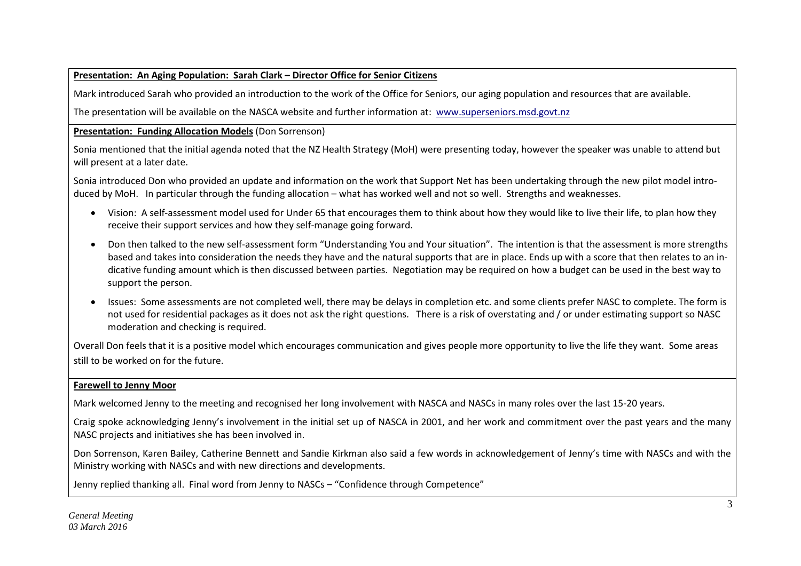## **Presentation: An Aging Population: Sarah Clark – Director Office for Senior Citizens**

Mark introduced Sarah who provided an introduction to the work of the Office for Seniors, our aging population and resources that are available.

The presentation will be available on the NASCA website and further information at: [www.superseniors.msd.govt.nz](http://www.superseniors.msd.govt.nz/)

## **Presentation: Funding Allocation Models** (Don Sorrenson)

Sonia mentioned that the initial agenda noted that the NZ Health Strategy (MoH) were presenting today, however the speaker was unable to attend but will present at a later date.

Sonia introduced Don who provided an update and information on the work that Support Net has been undertaking through the new pilot model introduced by MoH. In particular through the funding allocation – what has worked well and not so well. Strengths and weaknesses.

- Vision: A self-assessment model used for Under 65 that encourages them to think about how they would like to live their life, to plan how they receive their support services and how they self-manage going forward.
- Don then talked to the new self-assessment form "Understanding You and Your situation". The intention is that the assessment is more strengths based and takes into consideration the needs they have and the natural supports that are in place. Ends up with a score that then relates to an indicative funding amount which is then discussed between parties. Negotiation may be required on how a budget can be used in the best way to support the person.
- Issues: Some assessments are not completed well, there may be delays in completion etc. and some clients prefer NASC to complete. The form is not used for residential packages as it does not ask the right questions. There is a risk of overstating and / or under estimating support so NASC moderation and checking is required.

Overall Don feels that it is a positive model which encourages communication and gives people more opportunity to live the life they want. Some areas still to be worked on for the future.

# **Farewell to Jenny Moor**

Mark welcomed Jenny to the meeting and recognised her long involvement with NASCA and NASCs in many roles over the last 15-20 years.

Craig spoke acknowledging Jenny's involvement in the initial set up of NASCA in 2001, and her work and commitment over the past years and the many NASC projects and initiatives she has been involved in.

Don Sorrenson, Karen Bailey, Catherine Bennett and Sandie Kirkman also said a few words in acknowledgement of Jenny's time with NASCs and with the Ministry working with NASCs and with new directions and developments.

Jenny replied thanking all. Final word from Jenny to NASCs – "Confidence through Competence"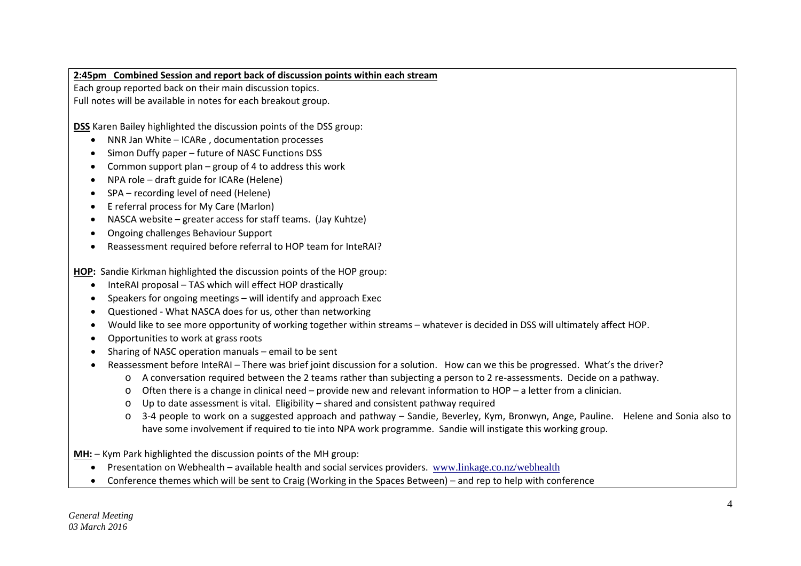### **2:45pm Combined Session and report back of discussion points within each stream**

Each group reported back on their main discussion topics.

Full notes will be available in notes for each breakout group.

**DSS** Karen Bailey highlighted the discussion points of the DSS group:

- NNR Jan White ICARe , documentation processes
- Simon Duffy paper future of NASC Functions DSS
- Common support plan group of 4 to address this work
- NPA role draft guide for ICARe (Helene)
- SPA recording level of need (Helene)
- E referral process for My Care (Marlon)
- NASCA website greater access for staff teams. (Jay Kuhtze)
- Ongoing challenges Behaviour Support
- Reassessment required before referral to HOP team for InteRAI?

**HOP:** Sandie Kirkman highlighted the discussion points of the HOP group:

- InteRAI proposal TAS which will effect HOP drastically
- Speakers for ongoing meetings will identify and approach Exec
- Questioned What NASCA does for us, other than networking
- Would like to see more opportunity of working together within streams whatever is decided in DSS will ultimately affect HOP.
- Opportunities to work at grass roots
- Sharing of NASC operation manuals email to be sent
- Reassessment before InteRAI There was brief joint discussion for a solution. How can we this be progressed. What's the driver?
	- o A conversation required between the 2 teams rather than subjecting a person to 2 re-assessments. Decide on a pathway.
	- o Often there is a change in clinical need provide new and relevant information to HOP a letter from a clinician.
	- o Up to date assessment is vital. Eligibility shared and consistent pathway required
	- o 3-4 people to work on a suggested approach and pathway Sandie, Beverley, Kym, Bronwyn, Ange, Pauline. Helene and Sonia also to have some involvement if required to tie into NPA work programme. Sandie will instigate this working group.

**MH:** – Kym Park highlighted the discussion points of the MH group:

- Presentation on Webhealth available health and social services providers. [www.linkage.co.nz/webhealth](http://www.linkage.co.nz/webhealth)
- Conference themes which will be sent to Craig (Working in the Spaces Between) and rep to help with conference